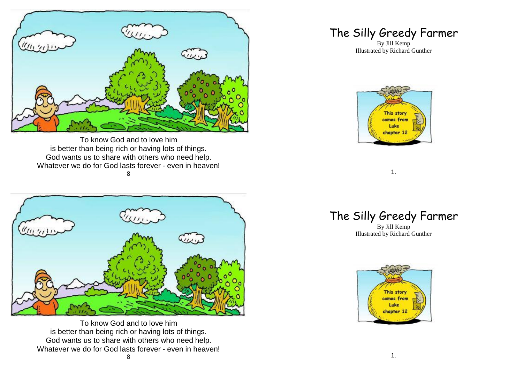

To know God and to love him is better than being rich or having lots of things. God wants us to share with others who need help. Whatever we do for God lasts forever - even in heaven! 8



To know God and to love him is better than being rich or having lots of things. God wants us to share with others who need help. Whatever we do for God lasts forever - even in heaven!

## The Silly Greedy Farmer

By Jill Kemp Illustrated by Richard Gunther



1.

## The Silly Greedy Farmer

By Jill Kemp Illustrated by Richard Gunther

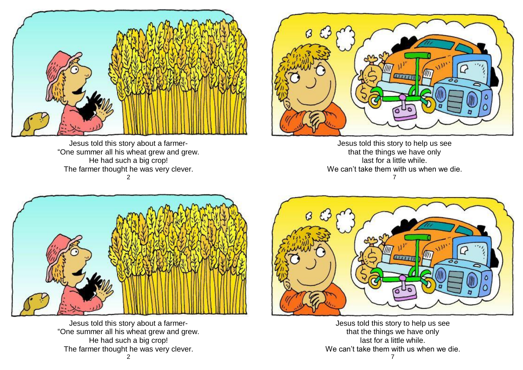

Jesus told this story about a farmer- "One summer all his wheat grew and grew. He had such a big crop! The farmer thought he was very clever. 2



Jesus told this story to help us see that the things we have only last for a little while. We can't take them with us when we die. 7



Jesus told this story about a farmer- "One summer all his wheat grew and grew. He had such a big crop! The farmer thought he was very clever.



Jesus told this story to help us see that the things we have only last for a little while. We can't take them with us when we die.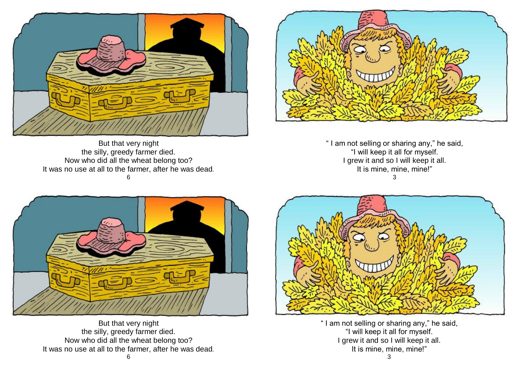



But that very night the silly, greedy farmer died. Now who did all the wheat belong too? It was no use at all to the farmer, after he was dead. 6

" I am not selling or sharing any," he said, "I will keep it all for myself. I grew it and so I will keep it all. It is mine, mine, mine!" 3



But that very night the silly, greedy farmer died. Now who did all the wheat belong too? It was no use at all to the farmer, after he was dead.



" I am not selling or sharing any," he said, "I will keep it all for myself. I grew it and so I will keep it all. It is mine, mine, mine!" 3